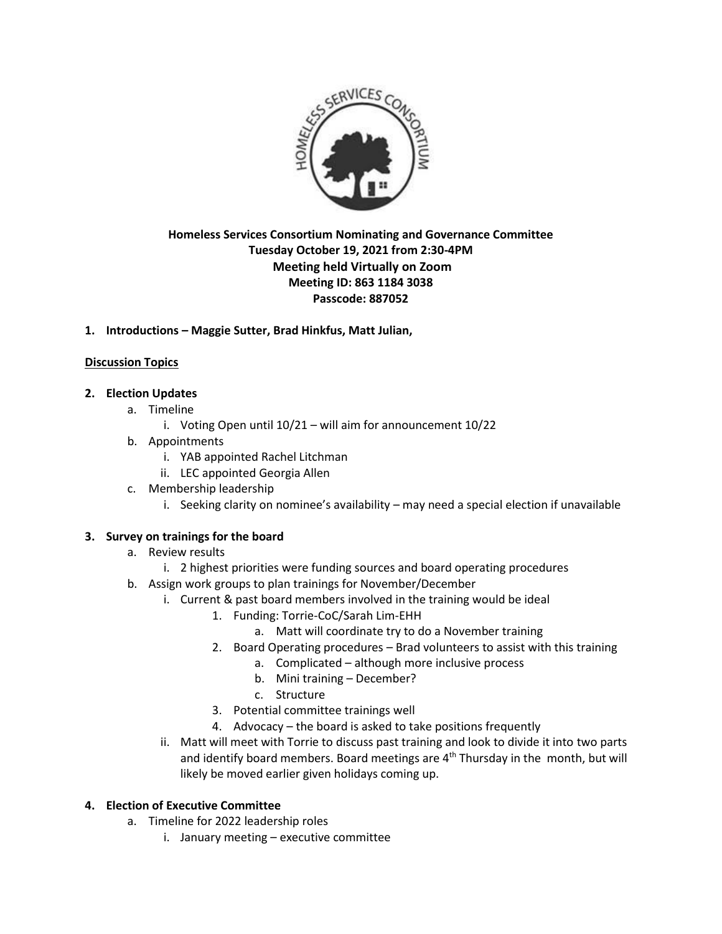

# **Homeless Services Consortium Nominating and Governance Committee Tuesday October 19, 2021 from 2:30-4PM Meeting held Virtually on Zoom Meeting ID: 863 1184 3038 Passcode: 887052**

# **1. Introductions – Maggie Sutter, Brad Hinkfus, Matt Julian,**

# **Discussion Topics**

# **2. Election Updates**

- a. Timeline
	- i. Voting Open until 10/21 will aim for announcement 10/22
- b. Appointments
	- i. YAB appointed Rachel Litchman
	- ii. LEC appointed Georgia Allen
- c. Membership leadership
	- i. Seeking clarity on nominee's availability may need a special election if unavailable

### **3. Survey on trainings for the board**

- a. Review results
	- i. 2 highest priorities were funding sources and board operating procedures
- b. Assign work groups to plan trainings for November/December
	- i. Current & past board members involved in the training would be ideal
		- 1. Funding: Torrie-CoC/Sarah Lim-EHH
			- a. Matt will coordinate try to do a November training
		- 2. Board Operating procedures Brad volunteers to assist with this training
			- a. Complicated although more inclusive process
			- b. Mini training December?
			- c. Structure
		- 3. Potential committee trainings well
		- 4. Advocacy the board is asked to take positions frequently
	- ii. Matt will meet with Torrie to discuss past training and look to divide it into two parts and identify board members. Board meetings are 4<sup>th</sup> Thursday in the month, but will likely be moved earlier given holidays coming up.

### **4. Election of Executive Committee**

- a. Timeline for 2022 leadership roles
	- i. January meeting executive committee